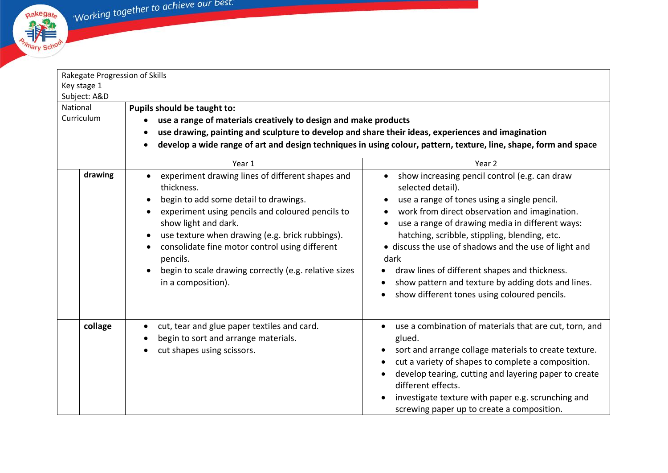

| Rakegate Progression of Skills |                                                                                                                                                                                                                                                                                                                                                                                                                            |                                                                                                                                                                                                                                                                                                                                                                                                                                                                                                             |  |  |
|--------------------------------|----------------------------------------------------------------------------------------------------------------------------------------------------------------------------------------------------------------------------------------------------------------------------------------------------------------------------------------------------------------------------------------------------------------------------|-------------------------------------------------------------------------------------------------------------------------------------------------------------------------------------------------------------------------------------------------------------------------------------------------------------------------------------------------------------------------------------------------------------------------------------------------------------------------------------------------------------|--|--|
| Key stage 1                    |                                                                                                                                                                                                                                                                                                                                                                                                                            |                                                                                                                                                                                                                                                                                                                                                                                                                                                                                                             |  |  |
| Subject: A&D                   |                                                                                                                                                                                                                                                                                                                                                                                                                            |                                                                                                                                                                                                                                                                                                                                                                                                                                                                                                             |  |  |
| National                       | Pupils should be taught to:                                                                                                                                                                                                                                                                                                                                                                                                |                                                                                                                                                                                                                                                                                                                                                                                                                                                                                                             |  |  |
| Curriculum                     | use a range of materials creatively to design and make products                                                                                                                                                                                                                                                                                                                                                            |                                                                                                                                                                                                                                                                                                                                                                                                                                                                                                             |  |  |
|                                | use drawing, painting and sculpture to develop and share their ideas, experiences and imagination<br>develop a wide range of art and design techniques in using colour, pattern, texture, line, shape, form and space                                                                                                                                                                                                      |                                                                                                                                                                                                                                                                                                                                                                                                                                                                                                             |  |  |
|                                |                                                                                                                                                                                                                                                                                                                                                                                                                            |                                                                                                                                                                                                                                                                                                                                                                                                                                                                                                             |  |  |
|                                | Year 1                                                                                                                                                                                                                                                                                                                                                                                                                     | Year <sub>2</sub>                                                                                                                                                                                                                                                                                                                                                                                                                                                                                           |  |  |
| drawing                        | experiment drawing lines of different shapes and<br>thickness.<br>begin to add some detail to drawings.<br>experiment using pencils and coloured pencils to<br>$\bullet$<br>show light and dark.<br>use texture when drawing (e.g. brick rubbings).<br>$\bullet$<br>consolidate fine motor control using different<br>pencils.<br>begin to scale drawing correctly (e.g. relative sizes<br>$\bullet$<br>in a composition). | show increasing pencil control (e.g. can draw<br>$\bullet$<br>selected detail).<br>use a range of tones using a single pencil.<br>work from direct observation and imagination.<br>use a range of drawing media in different ways:<br>hatching, scribble, stippling, blending, etc.<br>• discuss the use of shadows and the use of light and<br>dark<br>draw lines of different shapes and thickness.<br>show pattern and texture by adding dots and lines.<br>show different tones using coloured pencils. |  |  |
| collage                        | cut, tear and glue paper textiles and card.<br>begin to sort and arrange materials.<br>cut shapes using scissors.                                                                                                                                                                                                                                                                                                          | use a combination of materials that are cut, torn, and<br>glued.<br>sort and arrange collage materials to create texture.<br>cut a variety of shapes to complete a composition.<br>develop tearing, cutting and layering paper to create<br>different effects.<br>investigate texture with paper e.g. scrunching and<br>screwing paper up to create a composition.                                                                                                                                          |  |  |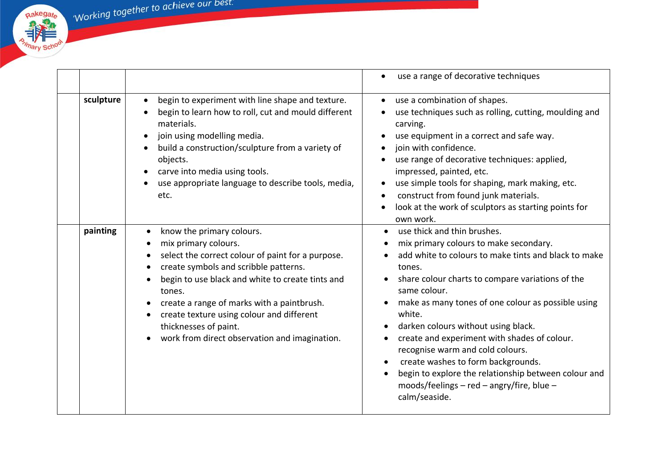'Working together to achieve our best.

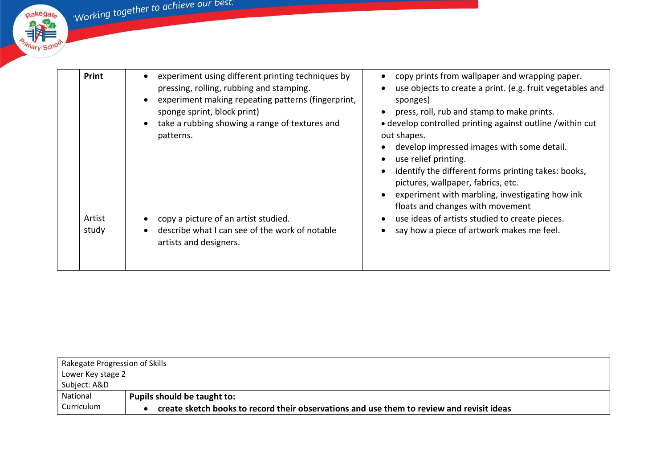Working together to achieve our best.

Rakegate Rakegate **Primary School** 

| <b>Print</b>    | experiment using different printing techniques by<br>pressing, rolling, rubbing and stamping.<br>experiment making repeating patterns (fingerprint,<br>sponge sprint, block print)<br>take a rubbing showing a range of textures and<br>patterns. | copy prints from wallpaper and wrapping paper.<br>use objects to create a print. (e.g. fruit vegetables and<br>sponges)<br>press, roll, rub and stamp to make prints.<br>• develop controlled printing against outline /within cut<br>out shapes.<br>develop impressed images with some detail.<br>use relief printing.<br>identify the different forms printing takes: books,<br>pictures, wallpaper, fabrics, etc.<br>experiment with marbling, investigating how ink<br>floats and changes with movement |
|-----------------|---------------------------------------------------------------------------------------------------------------------------------------------------------------------------------------------------------------------------------------------------|-------------------------------------------------------------------------------------------------------------------------------------------------------------------------------------------------------------------------------------------------------------------------------------------------------------------------------------------------------------------------------------------------------------------------------------------------------------------------------------------------------------|
| Artist<br>study | copy a picture of an artist studied.<br>describe what I can see of the work of notable<br>artists and designers.                                                                                                                                  | use ideas of artists studied to create pieces.<br>say how a piece of artwork makes me feel.                                                                                                                                                                                                                                                                                                                                                                                                                 |

|              | Rakegate Progression of Skills                                                            |  |  |
|--------------|-------------------------------------------------------------------------------------------|--|--|
|              | Lower Key stage 2                                                                         |  |  |
| Subject: A&D |                                                                                           |  |  |
| National     | Pupils should be taught to:                                                               |  |  |
| Curriculum   | create sketch books to record their observations and use them to review and revisit ideas |  |  |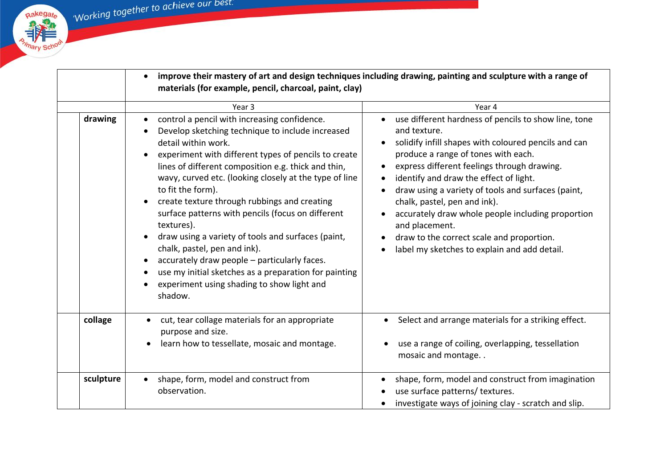Rakegate

**All School** 

 $\mathbf{r}$ 

|           | materials (for example, pencil, charcoal, paint, clay)                                                                                                                                                                                                                                                                                                                                                                                                                                                                                                                                                                                                                                           | improve their mastery of art and design techniques including drawing, painting and sculpture with a range of                                                                                                                                                                                                                                                                                                                                                                                                                        |
|-----------|--------------------------------------------------------------------------------------------------------------------------------------------------------------------------------------------------------------------------------------------------------------------------------------------------------------------------------------------------------------------------------------------------------------------------------------------------------------------------------------------------------------------------------------------------------------------------------------------------------------------------------------------------------------------------------------------------|-------------------------------------------------------------------------------------------------------------------------------------------------------------------------------------------------------------------------------------------------------------------------------------------------------------------------------------------------------------------------------------------------------------------------------------------------------------------------------------------------------------------------------------|
|           | Year <sub>3</sub>                                                                                                                                                                                                                                                                                                                                                                                                                                                                                                                                                                                                                                                                                | Year 4                                                                                                                                                                                                                                                                                                                                                                                                                                                                                                                              |
| drawing   | control a pencil with increasing confidence.<br>Develop sketching technique to include increased<br>detail within work.<br>experiment with different types of pencils to create<br>lines of different composition e.g. thick and thin,<br>wavy, curved etc. (looking closely at the type of line<br>to fit the form).<br>create texture through rubbings and creating<br>surface patterns with pencils (focus on different<br>textures).<br>draw using a variety of tools and surfaces (paint,<br>chalk, pastel, pen and ink).<br>accurately draw people - particularly faces.<br>use my initial sketches as a preparation for painting<br>experiment using shading to show light and<br>shadow. | use different hardness of pencils to show line, tone<br>and texture.<br>solidify infill shapes with coloured pencils and can<br>produce a range of tones with each.<br>express different feelings through drawing.<br>$\bullet$<br>identify and draw the effect of light.<br>draw using a variety of tools and surfaces (paint,<br>chalk, pastel, pen and ink).<br>accurately draw whole people including proportion<br>and placement.<br>draw to the correct scale and proportion.<br>label my sketches to explain and add detail. |
| collage   | cut, tear collage materials for an appropriate<br>$\bullet$<br>purpose and size.<br>learn how to tessellate, mosaic and montage.<br>$\bullet$                                                                                                                                                                                                                                                                                                                                                                                                                                                                                                                                                    | Select and arrange materials for a striking effect.<br>use a range of coiling, overlapping, tessellation<br>mosaic and montage                                                                                                                                                                                                                                                                                                                                                                                                      |
| sculpture | shape, form, model and construct from<br>$\bullet$<br>observation.                                                                                                                                                                                                                                                                                                                                                                                                                                                                                                                                                                                                                               | shape, form, model and construct from imagination<br>use surface patterns/ textures.<br>investigate ways of joining clay - scratch and slip.                                                                                                                                                                                                                                                                                                                                                                                        |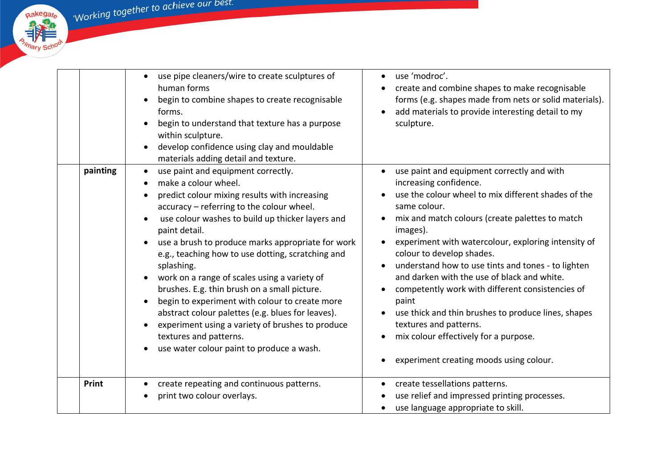Rakegate

|          | use pipe cleaners/wire to create sculptures of<br>human forms<br>begin to combine shapes to create recognisable<br>forms.<br>begin to understand that texture has a purpose<br>within sculpture.<br>develop confidence using clay and mouldable<br>materials adding detail and texture.                                                                                                                                                                                                                                                                                                                                                                                                                                        | use 'modroc'.<br>create and combine shapes to make recognisable<br>forms (e.g. shapes made from nets or solid materials).<br>add materials to provide interesting detail to my<br>sculpture.                                                                                                                                                                                                                                                                                                                                                                                                                                          |
|----------|--------------------------------------------------------------------------------------------------------------------------------------------------------------------------------------------------------------------------------------------------------------------------------------------------------------------------------------------------------------------------------------------------------------------------------------------------------------------------------------------------------------------------------------------------------------------------------------------------------------------------------------------------------------------------------------------------------------------------------|---------------------------------------------------------------------------------------------------------------------------------------------------------------------------------------------------------------------------------------------------------------------------------------------------------------------------------------------------------------------------------------------------------------------------------------------------------------------------------------------------------------------------------------------------------------------------------------------------------------------------------------|
| painting | use paint and equipment correctly.<br>$\bullet$<br>make a colour wheel.<br>predict colour mixing results with increasing<br>accuracy - referring to the colour wheel.<br>use colour washes to build up thicker layers and<br>paint detail.<br>use a brush to produce marks appropriate for work<br>e.g., teaching how to use dotting, scratching and<br>splashing.<br>work on a range of scales using a variety of<br>$\bullet$<br>brushes. E.g. thin brush on a small picture.<br>begin to experiment with colour to create more<br>$\bullet$<br>abstract colour palettes (e.g. blues for leaves).<br>experiment using a variety of brushes to produce<br>textures and patterns.<br>use water colour paint to produce a wash. | use paint and equipment correctly and with<br>increasing confidence.<br>use the colour wheel to mix different shades of the<br>same colour.<br>mix and match colours (create palettes to match<br>images).<br>experiment with watercolour, exploring intensity of<br>colour to develop shades.<br>understand how to use tints and tones - to lighten<br>and darken with the use of black and white.<br>competently work with different consistencies of<br>paint<br>use thick and thin brushes to produce lines, shapes<br>textures and patterns.<br>mix colour effectively for a purpose.<br>experiment creating moods using colour. |
| Print    | create repeating and continuous patterns.<br>print two colour overlays.                                                                                                                                                                                                                                                                                                                                                                                                                                                                                                                                                                                                                                                        | create tessellations patterns.<br>use relief and impressed printing processes.<br>use language appropriate to skill.                                                                                                                                                                                                                                                                                                                                                                                                                                                                                                                  |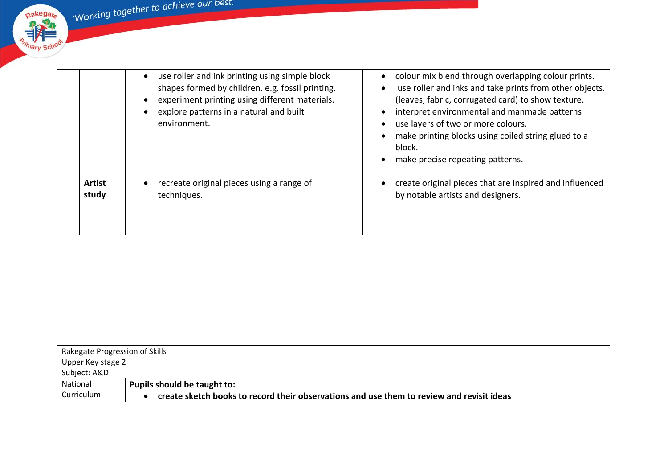Working together to achieve our best.



|               | use roller and ink printing using simple block<br>shapes formed by children. e.g. fossil printing.<br>experiment printing using different materials.<br>explore patterns in a natural and built<br>environment. | colour mix blend through overlapping colour prints.<br>use roller and inks and take prints from other objects.<br>(leaves, fabric, corrugated card) to show texture.<br>interpret environmental and manmade patterns<br>use layers of two or more colours.<br>make printing blocks using coiled string glued to a<br>block.<br>make precise repeating patterns. |
|---------------|-----------------------------------------------------------------------------------------------------------------------------------------------------------------------------------------------------------------|-----------------------------------------------------------------------------------------------------------------------------------------------------------------------------------------------------------------------------------------------------------------------------------------------------------------------------------------------------------------|
| <b>Artist</b> | recreate original pieces using a range of                                                                                                                                                                       | create original pieces that are inspired and influenced                                                                                                                                                                                                                                                                                                         |
| study         | techniques.                                                                                                                                                                                                     | by notable artists and designers.                                                                                                                                                                                                                                                                                                                               |

|                   | Rakegate Progression of Skills                                                            |  |  |
|-------------------|-------------------------------------------------------------------------------------------|--|--|
| Upper Key stage 2 |                                                                                           |  |  |
| Subject: A&D      |                                                                                           |  |  |
| National          | Pupils should be taught to:                                                               |  |  |
| Curriculum        | create sketch books to record their observations and use them to review and revisit ideas |  |  |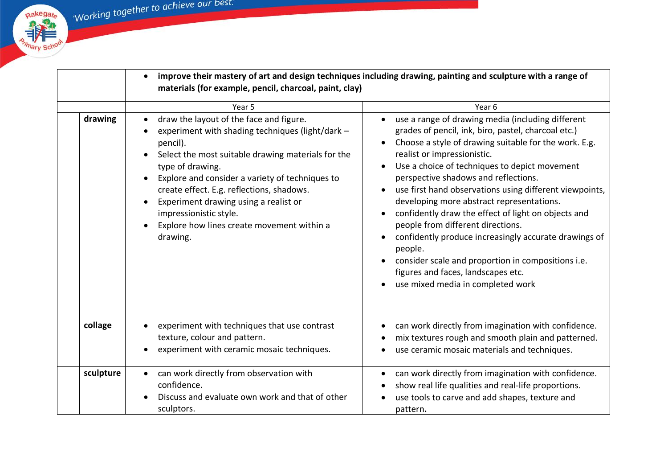Rakegate

**All School** 

|           | $\bullet$<br>materials (for example, pencil, charcoal, paint, clay)                                                                                                                                                                                                                                                                                                                                            | improve their mastery of art and design techniques including drawing, painting and sculpture with a range of                                                                                                                                                                                                                                                                                                                                                                                                                                                                                                                                                                                       |
|-----------|----------------------------------------------------------------------------------------------------------------------------------------------------------------------------------------------------------------------------------------------------------------------------------------------------------------------------------------------------------------------------------------------------------------|----------------------------------------------------------------------------------------------------------------------------------------------------------------------------------------------------------------------------------------------------------------------------------------------------------------------------------------------------------------------------------------------------------------------------------------------------------------------------------------------------------------------------------------------------------------------------------------------------------------------------------------------------------------------------------------------------|
|           | Year 5                                                                                                                                                                                                                                                                                                                                                                                                         | Year <sub>6</sub>                                                                                                                                                                                                                                                                                                                                                                                                                                                                                                                                                                                                                                                                                  |
| drawing   | draw the layout of the face and figure.<br>experiment with shading techniques (light/dark -<br>pencil).<br>Select the most suitable drawing materials for the<br>type of drawing.<br>Explore and consider a variety of techniques to<br>create effect. E.g. reflections, shadows.<br>Experiment drawing using a realist or<br>impressionistic style.<br>Explore how lines create movement within a<br>drawing. | use a range of drawing media (including different<br>grades of pencil, ink, biro, pastel, charcoal etc.)<br>Choose a style of drawing suitable for the work. E.g.<br>realist or impressionistic.<br>Use a choice of techniques to depict movement<br>perspective shadows and reflections.<br>use first hand observations using different viewpoints,<br>developing more abstract representations.<br>confidently draw the effect of light on objects and<br>people from different directions.<br>confidently produce increasingly accurate drawings of<br>people.<br>consider scale and proportion in compositions i.e.<br>figures and faces, landscapes etc.<br>use mixed media in completed work |
| collage   | experiment with techniques that use contrast<br>texture, colour and pattern.<br>experiment with ceramic mosaic techniques.                                                                                                                                                                                                                                                                                     | can work directly from imagination with confidence.<br>mix textures rough and smooth plain and patterned.<br>use ceramic mosaic materials and techniques.                                                                                                                                                                                                                                                                                                                                                                                                                                                                                                                                          |
| sculpture | can work directly from observation with<br>confidence.<br>Discuss and evaluate own work and that of other<br>sculptors.                                                                                                                                                                                                                                                                                        | can work directly from imagination with confidence.<br>show real life qualities and real-life proportions.<br>use tools to carve and add shapes, texture and<br>pattern.                                                                                                                                                                                                                                                                                                                                                                                                                                                                                                                           |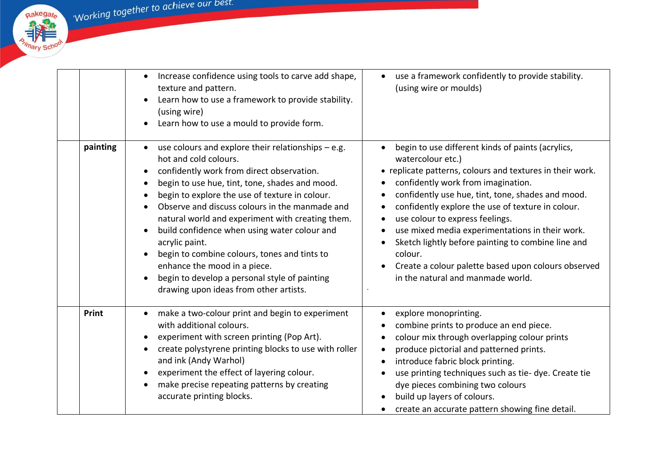Working together to achieve our best.



|          | Increase confidence using tools to carve add shape,<br>$\bullet$<br>texture and pattern.<br>Learn how to use a framework to provide stability.<br>(using wire)<br>Learn how to use a mould to provide form.                                                                                                                                                                                                                                                                                                                                                                       | use a framework confidently to provide stability.<br>$\bullet$<br>(using wire or moulds)                                                                                                                                                                                                                                                                                                                                                                                                                                               |
|----------|-----------------------------------------------------------------------------------------------------------------------------------------------------------------------------------------------------------------------------------------------------------------------------------------------------------------------------------------------------------------------------------------------------------------------------------------------------------------------------------------------------------------------------------------------------------------------------------|----------------------------------------------------------------------------------------------------------------------------------------------------------------------------------------------------------------------------------------------------------------------------------------------------------------------------------------------------------------------------------------------------------------------------------------------------------------------------------------------------------------------------------------|
| painting | use colours and explore their relationships $-$ e.g.<br>hot and cold colours.<br>confidently work from direct observation.<br>begin to use hue, tint, tone, shades and mood.<br>begin to explore the use of texture in colour.<br>Observe and discuss colours in the manmade and<br>natural world and experiment with creating them.<br>build confidence when using water colour and<br>acrylic paint.<br>begin to combine colours, tones and tints to<br>enhance the mood in a piece.<br>begin to develop a personal style of painting<br>drawing upon ideas from other artists. | begin to use different kinds of paints (acrylics,<br>watercolour etc.)<br>• replicate patterns, colours and textures in their work.<br>confidently work from imagination.<br>confidently use hue, tint, tone, shades and mood.<br>confidently explore the use of texture in colour.<br>use colour to express feelings.<br>use mixed media experimentations in their work.<br>Sketch lightly before painting to combine line and<br>colour.<br>Create a colour palette based upon colours observed<br>in the natural and manmade world. |
| Print    | make a two-colour print and begin to experiment<br>with additional colours.<br>experiment with screen printing (Pop Art).<br>create polystyrene printing blocks to use with roller<br>and ink (Andy Warhol)<br>experiment the effect of layering colour.<br>make precise repeating patterns by creating<br>accurate printing blocks.                                                                                                                                                                                                                                              | explore monoprinting.<br>combine prints to produce an end piece.<br>colour mix through overlapping colour prints<br>produce pictorial and patterned prints.<br>introduce fabric block printing.<br>use printing techniques such as tie- dye. Create tie<br>dye pieces combining two colours<br>build up layers of colours.<br>create an accurate pattern showing fine detail.                                                                                                                                                          |